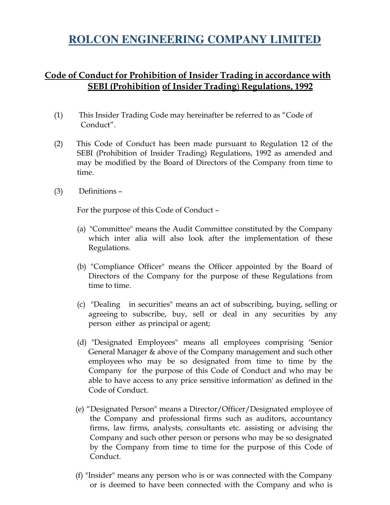# **ROLCON ENGINEERING COMPANY LIMITED**

## Code of Conduct for Prohibition of Insider Trading in accordance with SEBI (Prohibition of Insider Trading) Regulations, 1992

- (1) This Insider Trading Code may hereinafter be referred to as "Code of Conduct".
- (2) This Code of Conduct has been made pursuant to Regulation 12 of the SEBI (Prohibition of Insider Trading) Regulations, 1992 as amended and may be modified by the Board of Directors of the Company from time to time.
- (3) Definitions –

For the purpose of this Code of Conduct –

- (a) "Committee" means the Audit Committee constituted by the Company which inter alia will also look after the implementation of these Regulations.
- (b) "Compliance Officer" means the Officer appointed by the Board of Directors of the Company for the purpose of these Regulations from time to time.
- (c) "Dealing in securities" means an act of subscribing, buying, selling or agreeing to subscribe, buy, sell or deal in any securities by any person either as principal or agent;
- (d) "Designated Employees" means all employees comprising 'Senior General Manager & above of the Company management and such other employees who may be so designated from time to time by the Company for the purpose of this Code of Conduct and who may be able to have access to any price sensitive information' as defined in the Code of Conduct.
- (e) "Designated Person" means a Director/Officer/Designated employee of the Company and professional firms such as auditors, accountancy firms, law firms, analysts, consultants etc. assisting or advising the Company and such other person or persons who may be so designated by the Company from time to time for the purpose of this Code of Conduct.
- (f) "Insider" means any person who is or was connected with the Company or is deemed to have been connected with the Company and who is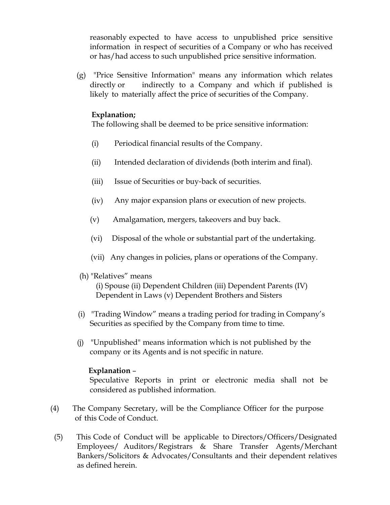reasonably expected to have access to unpublished price sensitive information in respect of securities of a Company or who has received or has/had access to such unpublished price sensitive information.

(g) "Price Sensitive Information" means any information which relates directly or indirectly to a Company and which if published is likely to materially affect the price of securities of the Company.

#### Explanation;

The following shall be deemed to be price sensitive information:

- (i) Periodical financial results of the Company.
- (ii) Intended declaration of dividends (both interim and final).
- (iii) Issue of Securities or buy‐back of securities.
- (iv) Any major expansion plans or execution of new projects.
- (v) Amalgamation, mergers, takeovers and buy back.
- (vi) Disposal of the whole or substantial part of the undertaking.
- (vii) Any changes in policies, plans or operations of the Company.

#### (h) "Relatives" means

(i) Spouse (ii) Dependent Children (iii) Dependent Parents (IV) Dependent in Laws (v) Dependent Brothers and Sisters

- (i) "Trading Window" means a trading period for trading in Company's Securities as specified by the Company from time to time.
- (j) "Unpublished" means information which is not published by the company or its Agents and is not specific in nature.

#### Explanation –

Speculative Reports in print or electronic media shall not be considered as published information.

- (4) The Company Secretary, will be the Compliance Officer for the purpose of this Code of Conduct.
- (5) This Code of Conduct will be applicable to Directors/Officers/Designated Employees/ Auditors/Registrars & Share Transfer Agents/Merchant Bankers/Solicitors & Advocates/Consultants and their dependent relatives as defined herein.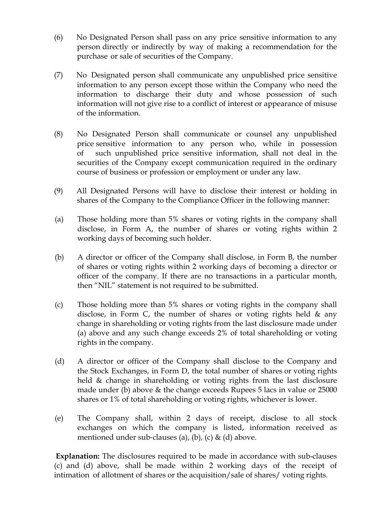- (6) No Designated Person shall pass on any price sensitive information to any person directly or indirectly by way of making a recommendation for the purchase or sale of securities of the Company.
- (7) No Designated person shall communicate any unpublished price sensitive information to any person except those within the Company who need the information to discharge their duty and whose possession of such information will not give rise to a conflict of interest or appearance of misuse of the information.
- (8) No Designated Person shall communicate or counsel any unpublished price sensitive information to any person who, while in possession of such unpublished price sensitive information, shall not deal in the securities of the Company except communication required in the ordinary course of business or profession or employment or under any law.
- (9) All Designated Persons will have to disclose their interest or holding in shares of the Company to the Compliance Officer in the following manner:
- (a) Those holding more than 5% shares or voting rights in the company shall disclose, in Form A, the number of shares or voting rights within 2 working days of becoming such holder.
- (b) A director or officer of the Company shall disclose, in Form B, the number of shares or voting rights within 2 working days of becoming a director or officer of the company. If there are no transactions in a particular month, then "NIL" statement is not required to be submitted.
- (c) Those holding more than 5% shares or voting rights in the company shall disclose, in Form C, the number of shares or voting rights held  $\&$  any change in shareholding or voting rights from the last disclosure made under (a) above and any such change exceeds 2% of total shareholding or voting rights in the company.
- (d) A director or officer of the Company shall disclose to the Company and the Stock Exchanges, in Form D, the total number of shares or voting rights held & change in shareholding or voting rights from the last disclosure made under (b) above & the change exceeds Rupees 5 lacs in value or 25000 shares or 1% of total shareholding or voting rights, whichever is lower.
- (e) The Company shall, within 2 days of receipt, disclose to all stock exchanges on which the company is listed, information received as mentioned under sub-clauses (a), (b), (c)  $\&$  (d) above.

Explanation: The disclosures required to be made in accordance with sub-clauses (c) and (d) above, shall be made within 2 working days of the receipt of intimation of allotment of shares or the acquisition/sale of shares/ voting rights.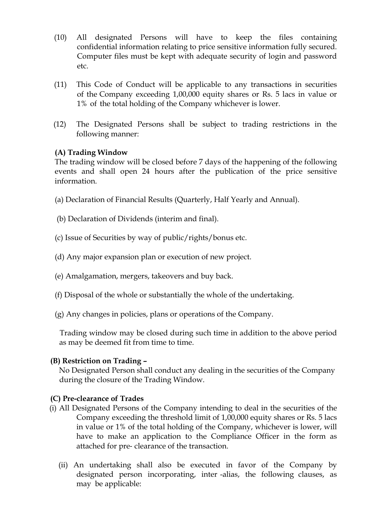- (10) All designated Persons will have to keep the files containing confidential information relating to price sensitive information fully secured. Computer files must be kept with adequate security of login and password etc.
- (11) This Code of Conduct will be applicable to any transactions in securities of the Company exceeding 1,00,000 equity shares or Rs. 5 lacs in value or 1% of the total holding of the Company whichever is lower.
- (12) The Designated Persons shall be subject to trading restrictions in the following manner:

### (A) Trading Window

The trading window will be closed before 7 days of the happening of the following events and shall open 24 hours after the publication of the price sensitive information.

- (a) Declaration of Financial Results (Quarterly, Half Yearly and Annual).
- (b) Declaration of Dividends (interim and final).
- (c) Issue of Securities by way of public/rights/bonus etc.
- (d) Any major expansion plan or execution of new project.
- (e) Amalgamation, mergers, takeovers and buy back.
- (f) Disposal of the whole or substantially the whole of the undertaking.
- (g) Any changes in policies, plans or operations of the Company.

 Trading window may be closed during such time in addition to the above period as may be deemed fit from time to time.

#### (B) Restriction on Trading –

 No Designated Person shall conduct any dealing in the securities of the Company during the closure of the Trading Window.

#### (C) Pre-clearance of Trades

- (i) All Designated Persons of the Company intending to deal in the securities of the Company exceeding the threshold limit of 1,00,000 equity shares or Rs. 5 lacs in value or 1% of the total holding of the Company, whichever is lower, will have to make an application to the Compliance Officer in the form as attached for pre‐ clearance of the transaction.
	- (ii) An undertaking shall also be executed in favor of the Company by designated person incorporating, inter -alias, the following clauses, as may be applicable: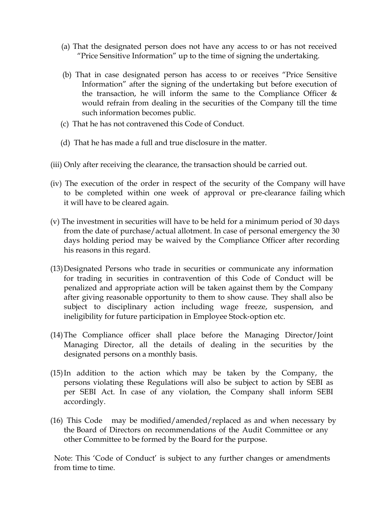- (a) That the designated person does not have any access to or has not received "Price Sensitive Information" up to the time of signing the undertaking.
- (b) That in case designated person has access to or receives "Price Sensitive Information" after the signing of the undertaking but before execution of the transaction, he will inform the same to the Compliance Officer  $\&$ would refrain from dealing in the securities of the Company till the time such information becomes public.
- (c) That he has not contravened this Code of Conduct.
- (d) That he has made a full and true disclosure in the matter.
- (iii) Only after receiving the clearance, the transaction should be carried out.
- (iv) The execution of the order in respect of the security of the Company will have to be completed within one week of approval or pre-clearance failing which it will have to be cleared again.
- (v) The investment in securities will have to be held for a minimum period of 30 days from the date of purchase/actual allotment. In case of personal emergency the 30 days holding period may be waived by the Compliance Officer after recording his reasons in this regard.
- (13) Designated Persons who trade in securities or communicate any information for trading in securities in contravention of this Code of Conduct will be penalized and appropriate action will be taken against them by the Company after giving reasonable opportunity to them to show cause. They shall also be subject to disciplinary action including wage freeze, suspension, and ineligibility for future participation in Employee Stock‐option etc.
- (14) The Compliance officer shall place before the Managing Director/Joint Managing Director, all the details of dealing in the securities by the designated persons on a monthly basis.
- (15) In addition to the action which may be taken by the Company, the persons violating these Regulations will also be subject to action by SEBI as per SEBI Act. In case of any violation, the Company shall inform SEBI accordingly.
- (16) This Code may be modified/amended/replaced as and when necessary by the Board of Directors on recommendations of the Audit Committee or any other Committee to be formed by the Board for the purpose.

Note: This 'Code of Conduct' is subject to any further changes or amendments from time to time.